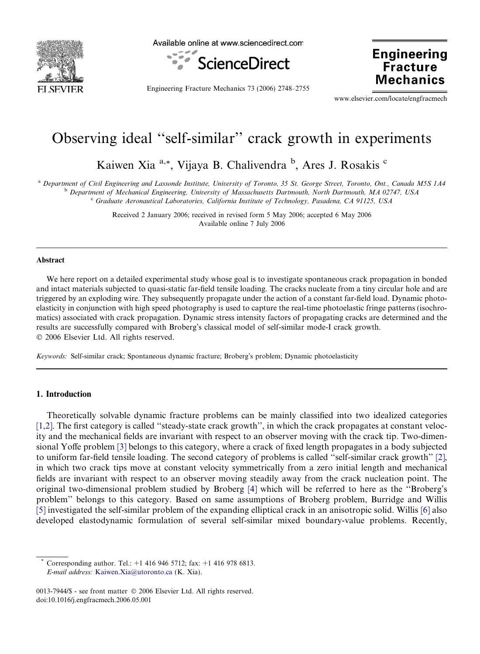

Available online at www.sciencedirect.com



Engineering Fracture Mechanics 73 (2006) 2748–2755

**Engineering Fracture** Mechanics

www.elsevier.com/locate/engfracmech

# Observing ideal ''self-similar'' crack growth in experiments

Kaiwen Xia<sup>a,\*</sup>, Vijaya B. Chalivendra <sup>b</sup>, Ares J. Rosakis c

<sup>a</sup> Department of Civil Engineering and Lassonde Institute, University of Toronto, 35 St. George Street, Toronto, Ont., Canada M5S 1A4

<sup>b</sup> Department of Mechanical Engineering, University of Massachusetts Dartmouth, North Dartmouth, MA 02747, USA

<sup>c</sup> Graduate Aeronautical Laboratories, California Institute of Technology, Pasadena, CA 91125, USA

Received 2 January 2006; received in revised form 5 May 2006; accepted 6 May 2006 Available online 7 July 2006

## Abstract

We here report on a detailed experimental study whose goal is to investigate spontaneous crack propagation in bonded and intact materials subjected to quasi-static far-field tensile loading. The cracks nucleate from a tiny circular hole and are triggered by an exploding wire. They subsequently propagate under the action of a constant far-field load. Dynamic photoelasticity in conjunction with high speed photography is used to capture the real-time photoelastic fringe patterns (isochromatics) associated with crack propagation. Dynamic stress intensity factors of propagating cracks are determined and the results are successfully compared with Broberg's classical model of self-similar mode-I crack growth.  $© 2006 Elsevier Ltd. All rights reserved.$ 

Keywords: Self-similar crack; Spontaneous dynamic fracture; Broberg's problem; Dynamic photoelasticity

# 1. Introduction

Theoretically solvable dynamic fracture problems can be mainly classified into two idealized categories [\[1,2\]](#page-7-0). The first category is called ''steady-state crack growth'', in which the crack propagates at constant velocity and the mechanical fields are invariant with respect to an observer moving with the crack tip. Two-dimensional Yoffe problem [\[3\]](#page-7-0) belongs to this category, where a crack of fixed length propagates in a body subjected to uniform far-field tensile loading. The second category of problems is called ''self-similar crack growth'' [\[2\],](#page-7-0) in which two crack tips move at constant velocity symmetrically from a zero initial length and mechanical fields are invariant with respect to an observer moving steadily away from the crack nucleation point. The original two-dimensional problem studied by Broberg [\[4\]](#page-7-0) which will be referred to here as the ''Broberg's problem'' belongs to this category. Based on same assumptions of Broberg problem, Burridge and Willis [\[5\]](#page-7-0) investigated the self-similar problem of the expanding elliptical crack in an anisotropic solid. Willis [\[6\]](#page-7-0) also developed elastodynamic formulation of several self-similar mixed boundary-value problems. Recently,

Corresponding author. Tel.:  $+1$  416 946 5712; fax:  $+1$  416 978 6813. E-mail address: [Kaiwen.Xia@utoronto.ca](mailto:Kaiwen.Xia@utoronto.ca) (K. Xia).

<sup>0013-7944/\$ -</sup> see front matter © 2006 Elsevier Ltd. All rights reserved. doi:10.1016/j.engfracmech.2006.05.001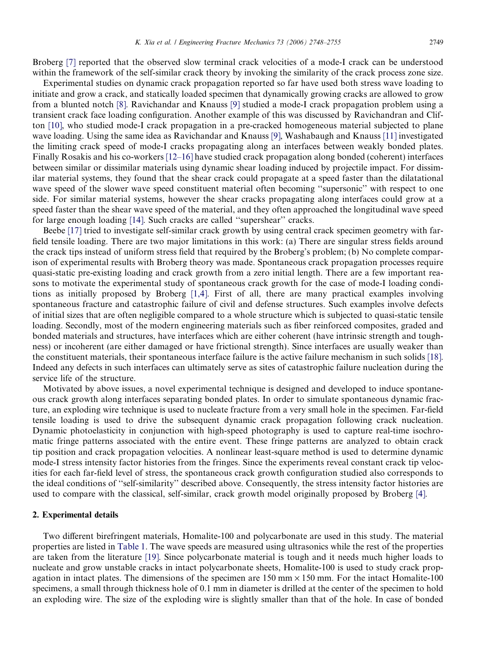<span id="page-1-0"></span>Broberg [\[7\]](#page-7-0) reported that the observed slow terminal crack velocities of a mode-I crack can be understood within the framework of the self-similar crack theory by invoking the similarity of the crack process zone size.

Experimental studies on dynamic crack propagation reported so far have used both stress wave loading to initiate and grow a crack, and statically loaded specimen that dynamically growing cracks are allowed to grow from a blunted notch [\[8\].](#page-7-0) Ravichandar and Knauss [\[9\]](#page-7-0) studied a mode-I crack propagation problem using a transient crack face loading configuration. Another example of this was discussed by Ravichandran and Clifton [\[10\]](#page-7-0), who studied mode-I crack propagation in a pre-cracked homogeneous material subjected to plane wave loading. Using the same idea as Ravichandar and Knauss [\[9\]](#page-7-0), Washabaugh and Knauss [\[11\]](#page-7-0) investigated the limiting crack speed of mode-I cracks propagating along an interfaces between weakly bonded plates. Finally Rosakis and his co-workers [\[12–16\]](#page-7-0) have studied crack propagation along bonded (coherent) interfaces between similar or dissimilar materials using dynamic shear loading induced by projectile impact. For dissimilar material systems, they found that the shear crack could propagate at a speed faster than the dilatational wave speed of the slower wave speed constituent material often becoming ''supersonic'' with respect to one side. For similar material systems, however the shear cracks propagating along interfaces could grow at a speed faster than the shear wave speed of the material, and they often approached the longitudinal wave speed for large enough loading [\[14\]](#page-7-0). Such cracks are called ''supershear'' cracks.

Beebe [\[17\]](#page-7-0) tried to investigate self-similar crack growth by using central crack specimen geometry with farfield tensile loading. There are two major limitations in this work: (a) There are singular stress fields around the crack tips instead of uniform stress field that required by the Broberg's problem; (b) No complete comparison of experimental results with Broberg theory was made. Spontaneous crack propagation processes require quasi-static pre-existing loading and crack growth from a zero initial length. There are a few important reasons to motivate the experimental study of spontaneous crack growth for the case of mode-I loading conditions as initially proposed by Broberg [\[1,4\].](#page-7-0) First of all, there are many practical examples involving spontaneous fracture and catastrophic failure of civil and defense structures. Such examples involve defects of initial sizes that are often negligible compared to a whole structure which is subjected to quasi-static tensile loading. Secondly, most of the modern engineering materials such as fiber reinforced composites, graded and bonded materials and structures, have interfaces which are either coherent (have intrinsic strength and toughness) or incoherent (are either damaged or have frictional strength). Since interfaces are usually weaker than the constituent materials, their spontaneous interface failure is the active failure mechanism in such solids [\[18\]](#page-7-0). Indeed any defects in such interfaces can ultimately serve as sites of catastrophic failure nucleation during the service life of the structure.

Motivated by above issues, a novel experimental technique is designed and developed to induce spontaneous crack growth along interfaces separating bonded plates. In order to simulate spontaneous dynamic fracture, an exploding wire technique is used to nucleate fracture from a very small hole in the specimen. Far-field tensile loading is used to drive the subsequent dynamic crack propagation following crack nucleation. Dynamic photoelasticity in conjunction with high-speed photography is used to capture real-time isochromatic fringe patterns associated with the entire event. These fringe patterns are analyzed to obtain crack tip position and crack propagation velocities. A nonlinear least-square method is used to determine dynamic mode-I stress intensity factor histories from the fringes. Since the experiments reveal constant crack tip velocities for each far-field level of stress, the spontaneous crack growth configuration studied also corresponds to the ideal conditions of ''self-similarity'' described above. Consequently, the stress intensity factor histories are used to compare with the classical, self-similar, crack growth model originally proposed by Broberg [\[4\]](#page-7-0).

## 2. Experimental details

Two different birefringent materials, Homalite-100 and polycarbonate are used in this study. The material properties are listed in [Table 1.](#page-2-0) The wave speeds are measured using ultrasonics while the rest of the properties are taken from the literature [\[19\].](#page-7-0) Since polycarbonate material is tough and it needs much higher loads to nucleate and grow unstable cracks in intact polycarbonate sheets, Homalite-100 is used to study crack propagation in intact plates. The dimensions of the specimen are  $150 \text{ mm} \times 150 \text{ mm}$ . For the intact Homalite-100 specimens, a small through thickness hole of 0.1 mm in diameter is drilled at the center of the specimen to hold an exploding wire. The size of the exploding wire is slightly smaller than that of the hole. In case of bonded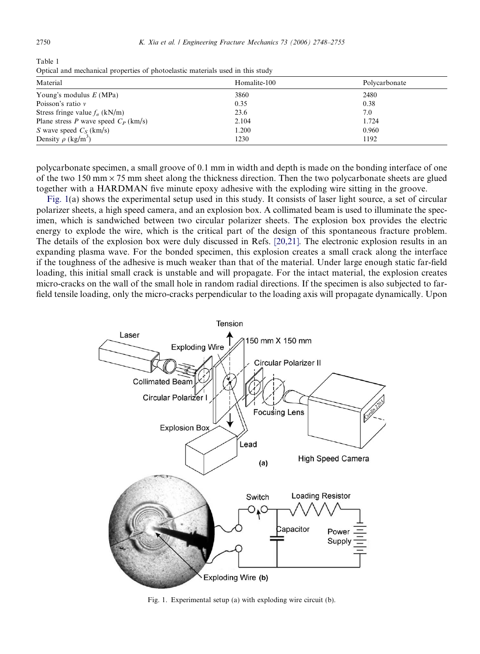| Homalite-100 | Polycarbonate |  |  |  |
|--------------|---------------|--|--|--|
| 3860         | 2480          |  |  |  |
| 0.35         | 0.38          |  |  |  |
| 23.6         | 7.0           |  |  |  |
| 2.104        | 1.724         |  |  |  |
| 1.200        | 0.960         |  |  |  |
| 1230         | 1192          |  |  |  |
|              |               |  |  |  |

<span id="page-2-0"></span>Table 1 Optical and mechanical properties of photoelastic materials used in this study

polycarbonate specimen, a small groove of 0.1 mm in width and depth is made on the bonding interface of one of the two 150 mm  $\times$  75 mm sheet along the thickness direction. Then the two polycarbonate sheets are glued together with a HARDMAN five minute epoxy adhesive with the exploding wire sitting in the groove.

Fig. 1(a) shows the experimental setup used in this study. It consists of laser light source, a set of circular polarizer sheets, a high speed camera, and an explosion box. A collimated beam is used to illuminate the specimen, which is sandwiched between two circular polarizer sheets. The explosion box provides the electric energy to explode the wire, which is the critical part of the design of this spontaneous fracture problem. The details of the explosion box were duly discussed in Refs. [\[20,21\]](#page-7-0). The electronic explosion results in an expanding plasma wave. For the bonded specimen, this explosion creates a small crack along the interface if the toughness of the adhesive is much weaker than that of the material. Under large enough static far-field loading, this initial small crack is unstable and will propagate. For the intact material, the explosion creates micro-cracks on the wall of the small hole in random radial directions. If the specimen is also subjected to farfield tensile loading, only the micro-cracks perpendicular to the loading axis will propagate dynamically. Upon



Fig. 1. Experimental setup (a) with exploding wire circuit (b).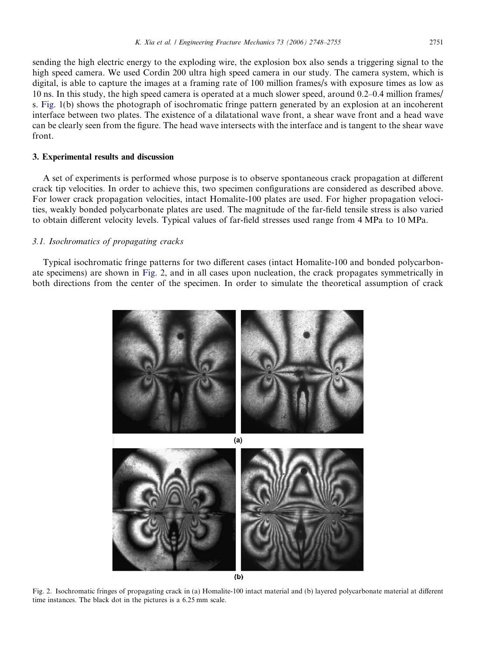<span id="page-3-0"></span>sending the high electric energy to the exploding wire, the explosion box also sends a triggering signal to the high speed camera. We used Cordin 200 ultra high speed camera in our study. The camera system, which is digital, is able to capture the images at a framing rate of 100 million frames/s with exposure times as low as 10 ns. In this study, the high speed camera is operated at a much slower speed, around 0.2–0.4 million frames/ s. [Fig. 1\(](#page-2-0)b) shows the photograph of isochromatic fringe pattern generated by an explosion at an incoherent interface between two plates. The existence of a dilatational wave front, a shear wave front and a head wave can be clearly seen from the figure. The head wave intersects with the interface and is tangent to the shear wave front.

## 3. Experimental results and discussion

A set of experiments is performed whose purpose is to observe spontaneous crack propagation at different crack tip velocities. In order to achieve this, two specimen configurations are considered as described above. For lower crack propagation velocities, intact Homalite-100 plates are used. For higher propagation velocities, weakly bonded polycarbonate plates are used. The magnitude of the far-field tensile stress is also varied to obtain different velocity levels. Typical values of far-field stresses used range from 4 MPa to 10 MPa.

# 3.1. Isochromatics of propagating cracks

Typical isochromatic fringe patterns for two different cases (intact Homalite-100 and bonded polycarbonate specimens) are shown in Fig. 2, and in all cases upon nucleation, the crack propagates symmetrically in both directions from the center of the specimen. In order to simulate the theoretical assumption of crack



Fig. 2. Isochromatic fringes of propagating crack in (a) Homalite-100 intact material and (b) layered polycarbonate material at different time instances. The black dot in the pictures is a 6.25 mm scale.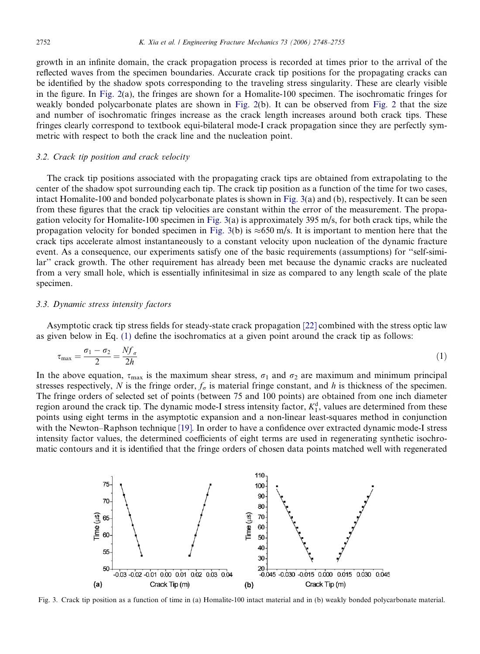<span id="page-4-0"></span>growth in an infinite domain, the crack propagation process is recorded at times prior to the arrival of the reflected waves from the specimen boundaries. Accurate crack tip positions for the propagating cracks can be identified by the shadow spots corresponding to the traveling stress singularity. These are clearly visible in the figure. In [Fig. 2](#page-3-0)(a), the fringes are shown for a Homalite-100 specimen. The isochromatic fringes for weakly bonded polycarbonate plates are shown in [Fig. 2\(](#page-3-0)b). It can be observed from [Fig. 2](#page-3-0) that the size and number of isochromatic fringes increase as the crack length increases around both crack tips. These fringes clearly correspond to textbook equi-bilateral mode-I crack propagation since they are perfectly symmetric with respect to both the crack line and the nucleation point.

## 3.2. Crack tip position and crack velocity

The crack tip positions associated with the propagating crack tips are obtained from extrapolating to the center of the shadow spot surrounding each tip. The crack tip position as a function of the time for two cases, intact Homalite-100 and bonded polycarbonate plates is shown in Fig. 3(a) and (b), respectively. It can be seen from these figures that the crack tip velocities are constant within the error of the measurement. The propagation velocity for Homalite-100 specimen in Fig. 3(a) is approximately 395 m/s, for both crack tips, while the propagation velocity for bonded specimen in Fig. 3(b) is  $\approx 650$  m/s. It is important to mention here that the crack tips accelerate almost instantaneously to a constant velocity upon nucleation of the dynamic fracture event. As a consequence, our experiments satisfy one of the basic requirements (assumptions) for ''self-similar'' crack growth. The other requirement has already been met because the dynamic cracks are nucleated from a very small hole, which is essentially infinitesimal in size as compared to any length scale of the plate specimen.

#### 3.3. Dynamic stress intensity factors

Asymptotic crack tip stress fields for steady-state crack propagation [\[22\]](#page-7-0) combined with the stress optic law as given below in Eq. (1) define the isochromatics at a given point around the crack tip as follows:

$$
\tau_{\text{max}} = \frac{\sigma_1 - \sigma_2}{2} = \frac{Nf_\sigma}{2h} \tag{1}
$$

In the above equation,  $\tau_{\text{max}}$  is the maximum shear stress,  $\sigma_1$  and  $\sigma_2$  are maximum and minimum principal stresses respectively, N is the fringe order,  $f_{\sigma}$  is material fringe constant, and h is thickness of the specimen. The fringe orders of selected set of points (between 75 and 100 points) are obtained from one inch diameter region around the crack tip. The dynamic mode-I stress intensity factor,  $K_I^d$ , values are determined from these points using eight terms in the asymptotic expansion and a non-linear least-squares method in conjunction with the Newton–Raphson technique [\[19\].](#page-7-0) In order to have a confidence over extracted dynamic mode-I stress intensity factor values, the determined coefficients of eight terms are used in regenerating synthetic isochromatic contours and it is identified that the fringe orders of chosen data points matched well with regenerated



Fig. 3. Crack tip position as a function of time in (a) Homalite-100 intact material and in (b) weakly bonded polycarbonate material.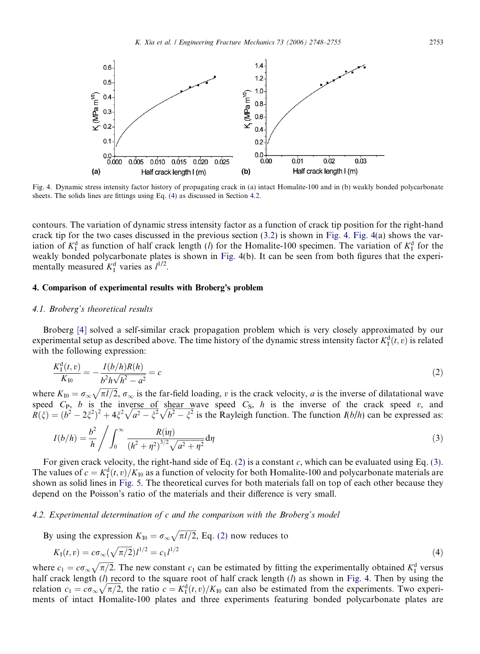

Fig. 4. Dynamic stress intensity factor history of propagating crack in (a) intact Homalite-100 and in (b) weakly bonded polycarbonate sheets. The solids lines are fittings using Eq. (4) as discussed in Section 4.2.

contours. The variation of dynamic stress intensity factor as a function of crack tip position for the right-hand crack tip for the two cases discussed in the previous section [\(3.2\)](#page-4-0) is shown in Fig. 4. Fig. 4(a) shows the variation of  $K_I^d$  as function of half crack length (*l*) for the Homalite-100 specimen. The variation of  $K_I^d$  for the weakly bonded polycarbonate plates is shown in Fig. 4(b). It can be seen from both figures that the experimentally measured  $K_I^d$  varies as  $l^{1/2}$ .

## 4. Comparison of experimental results with Broberg's problem

#### 4.1. Broberg's theoretical results

Broberg [\[4\]](#page-7-0) solved a self-similar crack propagation problem which is very closely approximated by our experimental setup as described above. The time history of the dynamic stress intensity factor  $K_1^d(t, v)$  is related with the following expression:

$$
\frac{K_1^d(t, v)}{K_{10}} = -\frac{I(b/h)R(h)}{b^2 h \sqrt{h^2 - a^2}} = c
$$
\n(2)

where  $K_{10} = \sigma_{\infty} \sqrt{\pi l/2}$ ,  $\sigma_{\infty}$  is the far-field loading, v is the crack velocity, a is the inverse of dilatational wave speed  $C_{\rm P}$ , b is the inverse of shear wave speed  $C_{\rm S}$ , h is the inverse of the crack speed v, and speed  $C_p$ , b is the inverse of shear wave speed  $C_s$ , h is the inverse of the crack speed b, and  $R(\xi) = (b^2 - 2\xi^2)^2 + 4\xi^2\sqrt{a^2 - \xi^2}\sqrt{b^2 - \xi^2}$  is the Rayleigh function. The function  $I(b/h)$  can be expressed as:

$$
I(b/h) = \frac{b^2}{h} / \int_0^\infty \frac{R(i\eta)}{(h^2 + \eta^2)^{3/2}\sqrt{a^2 + \eta^2}} d\eta
$$
 (3)

For given crack velocity, the right-hand side of Eq. (2) is a constant c, which can be evaluated using Eq. (3). The values of  $c = K_1^d(t, v)/K_{10}$  as a function of velocity for both Homalite-100 and polycarbonate materials are shown as solid lines in [Fig. 5.](#page-6-0) The theoretical curves for both materials fall on top of each other because they depend on the Poisson's ratio of the materials and their difference is very small.

## 4.2. Experimental determination of c and the comparison with the Broberg's model

By using the expression  $K_{10} = \sigma_{\infty} \sqrt{\pi l/2}$ , Eq. (2) now reduces to

$$
K_{\rm I}(t,v) = c\sigma_{\infty}(\sqrt{\pi/2})I^{1/2} = c_1I^{1/2}
$$
\n(4)

where  $c_1 = c\sigma_{\infty}\sqrt{\pi/2}$ . The new constant  $c_1$  can be estimated by fitting the experimentally obtained  $K_1^d$  versus half crack length (*l*) record to the square root of half crack length (*l*) as shown in Fig. 4. Then by using the relation  $c_1 = c\sigma_\infty \sqrt{\pi/2}$ , the ratio  $c = K_1^d(t, v)/K_{10}$  can also be estimated from the experiments. Two experiments of intact Homalite-100 plates and three experiments featuring bonded polycarbonate plates are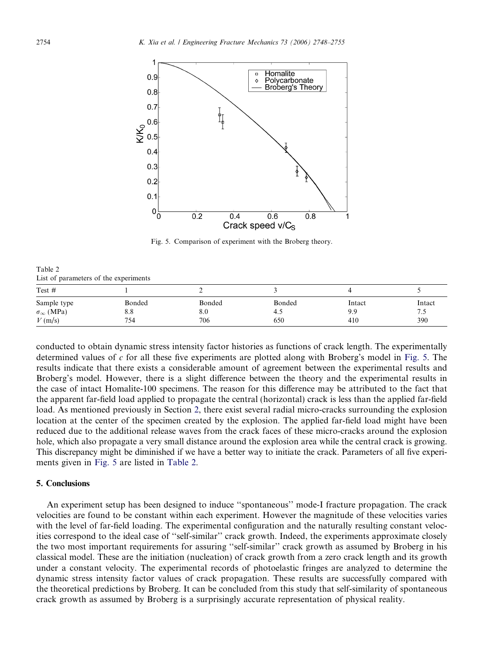<span id="page-6-0"></span>

Fig. 5. Comparison of experiment with the Broberg theory.

Table 2 List of parameters of the experiments

| Test #                  |        |        |        |        |        |
|-------------------------|--------|--------|--------|--------|--------|
| Sample type             | Bonded | Bonded | Bonded | Intact | Intact |
| $\sigma_{\infty}$ (MPa) | o.o    | 8.0    | 4.5    | 9.9    | ر . (  |
| V(m/s)                  | 754    | 706    | 650    | 410    | 390    |

conducted to obtain dynamic stress intensity factor histories as functions of crack length. The experimentally determined values of  $c$  for all these five experiments are plotted along with Broberg's model in Fig. 5. The results indicate that there exists a considerable amount of agreement between the experimental results and Broberg's model. However, there is a slight difference between the theory and the experimental results in the case of intact Homalite-100 specimens. The reason for this difference may be attributed to the fact that the apparent far-field load applied to propagate the central (horizontal) crack is less than the applied far-field load. As mentioned previously in Section [2](#page-1-0), there exist several radial micro-cracks surrounding the explosion location at the center of the specimen created by the explosion. The applied far-field load might have been reduced due to the additional release waves from the crack faces of these micro-cracks around the explosion hole, which also propagate a very small distance around the explosion area while the central crack is growing. This discrepancy might be diminished if we have a better way to initiate the crack. Parameters of all five experiments given in Fig. 5 are listed in Table 2.

### 5. Conclusions

An experiment setup has been designed to induce ''spontaneous'' mode-I fracture propagation. The crack velocities are found to be constant within each experiment. However the magnitude of these velocities varies with the level of far-field loading. The experimental configuration and the naturally resulting constant velocities correspond to the ideal case of ''self-similar'' crack growth. Indeed, the experiments approximate closely the two most important requirements for assuring ''self-similar'' crack growth as assumed by Broberg in his classical model. These are the initiation (nucleation) of crack growth from a zero crack length and its growth under a constant velocity. The experimental records of photoelastic fringes are analyzed to determine the dynamic stress intensity factor values of crack propagation. These results are successfully compared with the theoretical predictions by Broberg. It can be concluded from this study that self-similarity of spontaneous crack growth as assumed by Broberg is a surprisingly accurate representation of physical reality.